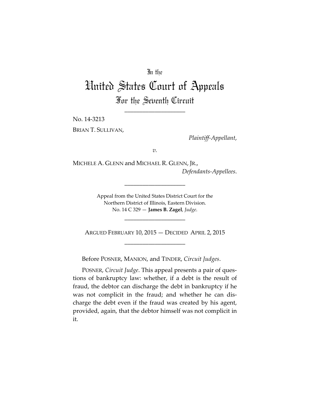## In the

## United States Court of Appeals For the Seventh Circuit

\_\_\_\_\_\_\_\_\_\_\_\_\_\_\_\_\_\_\_\_

No. 14-3213 BRIAN T. SULLIVAN,

*Plaintiff-Appellant*,

*v.*

MICHELE A. GLENN and MICHAEL R. GLENN, JR., *Defendants-Appellees*.

> Appeal from the United States District Court for the Northern District of Illinois, Eastern Division. No. 14 C 329 — **James B. Zagel**, *Judge*.

\_\_\_\_\_\_\_\_\_\_\_\_\_\_\_\_\_\_\_\_

ARGUED FEBRUARY 10, 2015 — DECIDED APRIL 2, 2015 \_\_\_\_\_\_\_\_\_\_\_\_\_\_\_\_\_\_\_\_

\_\_\_\_\_\_\_\_\_\_\_\_\_\_\_\_\_\_\_\_

Before POSNER, MANION, and TINDER, *Circuit Judges*.

POSNER, *Circuit Judge*. This appeal presents a pair of questions of bankruptcy law: whether, if a debt is the result of fraud, the debtor can discharge the debt in bankruptcy if he was not complicit in the fraud; and whether he can discharge the debt even if the fraud was created by his agent, provided, again, that the debtor himself was not complicit in it.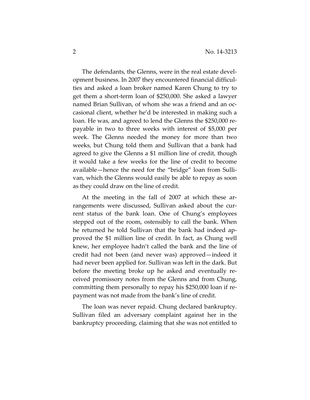The defendants, the Glenns, were in the real estate development business. In 2007 they encountered financial difficulties and asked a loan broker named Karen Chung to try to get them a short-term loan of \$250,000. She asked a lawyer named Brian Sullivan, of whom she was a friend and an occasional client, whether he'd be interested in making such a loan. He was, and agreed to lend the Glenns the \$250,000 repayable in two to three weeks with interest of \$5,000 per week. The Glenns needed the money for more than two weeks, but Chung told them and Sullivan that a bank had agreed to give the Glenns a \$1 million line of credit, though it would take a few weeks for the line of credit to become available—hence the need for the "bridge" loan from Sullivan, which the Glenns would easily be able to repay as soon as they could draw on the line of credit.

At the meeting in the fall of 2007 at which these arrangements were discussed, Sullivan asked about the current status of the bank loan. One of Chung's employees stepped out of the room, ostensibly to call the bank. When he returned he told Sullivan that the bank had indeed approved the \$1 million line of credit. In fact, as Chung well knew, her employee hadn't called the bank and the line of credit had not been (and never was) approved—indeed it had never been applied for. Sullivan was left in the dark. But before the meeting broke up he asked and eventually received promissory notes from the Glenns and from Chung, committing them personally to repay his \$250,000 loan if repayment was not made from the bank's line of credit.

The loan was never repaid. Chung declared bankruptcy. Sullivan filed an adversary complaint against her in the bankruptcy proceeding, claiming that she was not entitled to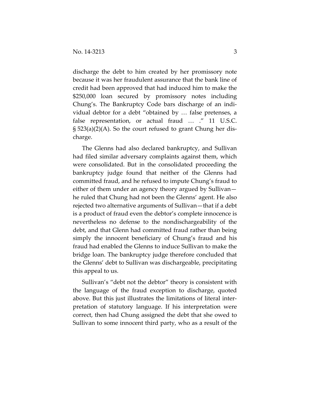discharge the debt to him created by her promissory note because it was her fraudulent assurance that the bank line of credit had been approved that had induced him to make the \$250,000 loan secured by promissory notes including Chung's. The Bankruptcy Code bars discharge of an individual debtor for a debt "obtained by … false pretenses, a false representation, or actual fraud ... ." 11 U.S.C. § 523(a)(2)(A). So the court refused to grant Chung her discharge.

The Glenns had also declared bankruptcy, and Sullivan had filed similar adversary complaints against them, which were consolidated. But in the consolidated proceeding the bankruptcy judge found that neither of the Glenns had committed fraud, and he refused to impute Chung's fraud to either of them under an agency theory argued by Sullivan he ruled that Chung had not been the Glenns' agent. He also rejected two alternative arguments of Sullivan—that if a debt is a product of fraud even the debtor's complete innocence is nevertheless no defense to the nondischargeability of the debt, and that Glenn had committed fraud rather than being simply the innocent beneficiary of Chung's fraud and his fraud had enabled the Glenns to induce Sullivan to make the bridge loan. The bankruptcy judge therefore concluded that the Glenns' debt to Sullivan was dischargeable, precipitating this appeal to us.

Sullivan's "debt not the debtor" theory is consistent with the language of the fraud exception to discharge, quoted above. But this just illustrates the limitations of literal interpretation of statutory language. If his interpretation were correct, then had Chung assigned the debt that she owed to Sullivan to some innocent third party, who as a result of the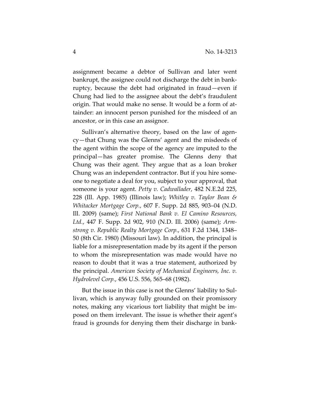assignment became a debtor of Sullivan and later went bankrupt, the assignee could not discharge the debt in bankruptcy, because the debt had originated in fraud—even if Chung had lied to the assignee about the debt's fraudulent origin. That would make no sense. It would be a form of attainder: an innocent person punished for the misdeed of an ancestor, or in this case an assignor.

Sullivan's alternative theory, based on the law of agency—that Chung was the Glenns' agent and the misdeeds of the agent within the scope of the agency are imputed to the principal—has greater promise. The Glenns deny that Chung was their agent. They argue that as a loan broker Chung was an independent contractor. But if you hire someone to negotiate a deal for you, subject to your approval, that someone is your agent. *Petty v. Cadwallader*, 482 N.E.2d 225, 228 (Ill. App. 1985) (Illinois law); *Whitley v. Taylor Bean & Whitacker Mortgage Corp.*, 607 F. Supp. 2d 885, 903–04 (N.D. Ill. 2009) (same); *First National Bank v. El Camino Resources, Ltd.*, 447 F. Supp. 2d 902, 910 (N.D. Ill. 2006) (same); *Armstrong v. Republic Realty Mortgage Corp.*, 631 F.2d 1344, 1348– 50 (8th Cir. 1980) (Missouri law). In addition, the principal is liable for a misrepresentation made by its agent if the person to whom the misrepresentation was made would have no reason to doubt that it was a true statement, authorized by the principal. *American Society of Mechanical Engineers, Inc. v. Hydrolevel Corp.*, 456 U.S. 556, 565–68 (1982).

But the issue in this case is not the Glenns' liability to Sullivan, which is anyway fully grounded on their promissory notes, making any vicarious tort liability that might be imposed on them irrelevant. The issue is whether their agent's fraud is grounds for denying them their discharge in bank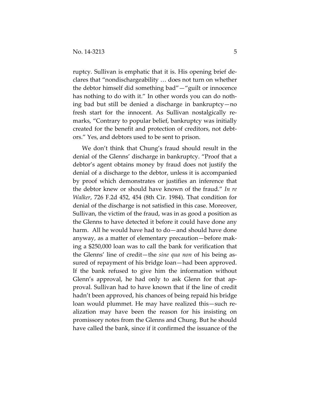ruptcy. Sullivan is emphatic that it is. His opening brief declares that "nondischargeability … does not turn on whether the debtor himself did something bad"—"guilt or innocence has nothing to do with it." In other words you can do nothing bad but still be denied a discharge in bankruptcy—no fresh start for the innocent. As Sullivan nostalgically remarks, "Contrary to popular belief, bankruptcy was initially created for the benefit and protection of creditors, not debtors." Yes, and debtors used to be sent to prison.

We don't think that Chung's fraud should result in the denial of the Glenns' discharge in bankruptcy. "Proof that a debtor's agent obtains money by fraud does not justify the denial of a discharge to the debtor, unless it is accompanied by proof which demonstrates or justifies an inference that the debtor knew or should have known of the fraud." *In re Walker*, 726 F.2d 452, 454 (8th Cir. 1984). That condition for denial of the discharge is not satisfied in this case. Moreover, Sullivan, the victim of the fraud, was in as good a position as the Glenns to have detected it before it could have done any harm. All he would have had to do—and should have done anyway, as a matter of elementary precaution—before making a \$250,000 loan was to call the bank for verification that the Glenns' line of credit—the *sine qua non* of his being assured of repayment of his bridge loan—had been approved. If the bank refused to give him the information without Glenn's approval, he had only to ask Glenn for that approval. Sullivan had to have known that if the line of credit hadn't been approved, his chances of being repaid his bridge loan would plummet. He may have realized this—such realization may have been the reason for his insisting on promissory notes from the Glenns and Chung. But he should have called the bank, since if it confirmed the issuance of the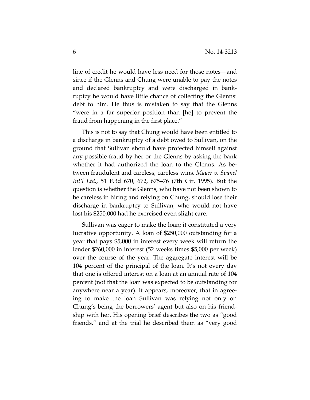line of credit he would have less need for those notes—and since if the Glenns and Chung were unable to pay the notes and declared bankruptcy and were discharged in bankruptcy he would have little chance of collecting the Glenns' debt to him. He thus is mistaken to say that the Glenns "were in a far superior position than [he] to prevent the fraud from happening in the first place."

This is not to say that Chung would have been entitled to a discharge in bankruptcy of a debt owed to Sullivan, on the ground that Sullivan should have protected himself against any possible fraud by her or the Glenns by asking the bank whether it had authorized the loan to the Glenns. As between fraudulent and careless, careless wins. *Mayer v. Spanel Int'l Ltd.*, 51 F.3d 670, 672, 675–76 (7th Cir. 1995). But the question is whether the Glenns, who have not been shown to be careless in hiring and relying on Chung, should lose their discharge in bankruptcy to Sullivan, who would not have lost his \$250,000 had he exercised even slight care.

Sullivan was eager to make the loan; it constituted a very lucrative opportunity. A loan of \$250,000 outstanding for a year that pays \$5,000 in interest every week will return the lender \$260,000 in interest (52 weeks times \$5,000 per week) over the course of the year. The aggregate interest will be 104 percent of the principal of the loan. It's not every day that one is offered interest on a loan at an annual rate of 104 percent (not that the loan was expected to be outstanding for anywhere near a year). It appears, moreover, that in agreeing to make the loan Sullivan was relying not only on Chung's being the borrowers' agent but also on his friendship with her. His opening brief describes the two as "good friends," and at the trial he described them as "very good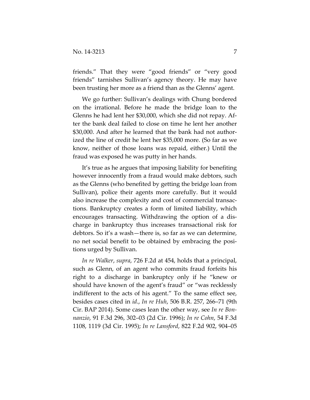friends." That they were "good friends" or "very good friends" tarnishes Sullivan's agency theory. He may have been trusting her more as a friend than as the Glenns' agent.

We go further: Sullivan's dealings with Chung bordered on the irrational. Before he made the bridge loan to the Glenns he had lent her \$30,000, which she did not repay. After the bank deal failed to close on time he lent her another \$30,000. And after he learned that the bank had not authorized the line of credit he lent her \$35,000 more. (So far as we know, neither of those loans was repaid, either.) Until the fraud was exposed he was putty in her hands.

It's true as he argues that imposing liability for benefiting however innocently from a fraud would make debtors, such as the Glenns (who benefited by getting the bridge loan from Sullivan), police their agents more carefully. But it would also increase the complexity and cost of commercial transactions. Bankruptcy creates a form of limited liability, which encourages transacting. Withdrawing the option of a discharge in bankruptcy thus increases transactional risk for debtors. So it's a wash—there is, so far as we can determine, no net social benefit to be obtained by embracing the positions urged by Sullivan.

*In re Walker*, *supra*, 726 F.2d at 454, holds that a principal, such as Glenn, of an agent who commits fraud forfeits his right to a discharge in bankruptcy only if he "knew or should have known of the agent's fraud" or "was recklessly indifferent to the acts of his agent." To the same effect see, besides cases cited in *id*., *In re Huh*, 506 B.R. 257, 266–71 (9th Cir. BAP 2014). Some cases lean the other way, see *In re Bonnanzio*, 91 F.3d 296, 302–03 (2d Cir. 1996); *In re Cohn*, 54 F.3d 1108, 1119 (3d Cir. 1995); *In re Lansford*, 822 F.2d 902, 904–05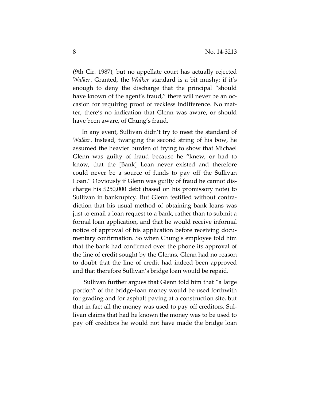(9th Cir. 1987), but no appellate court has actually rejected *Walker*. Granted, the *Walker* standard is a bit mushy; if it's enough to deny the discharge that the principal "should have known of the agent's fraud," there will never be an occasion for requiring proof of reckless indifference. No matter; there's no indication that Glenn was aware, or should have been aware, of Chung's fraud.

In any event, Sullivan didn't try to meet the standard of *Walker*. Instead, twanging the second string of his bow, he assumed the heavier burden of trying to show that Michael Glenn was guilty of fraud because he "knew, or had to know, that the [Bank] Loan never existed and therefore could never be a source of funds to pay off the Sullivan Loan." Obviously if Glenn was guilty of fraud he cannot discharge his \$250,000 debt (based on his promissory note) to Sullivan in bankruptcy. But Glenn testified without contradiction that his usual method of obtaining bank loans was just to email a loan request to a bank, rather than to submit a formal loan application, and that he would receive informal notice of approval of his application before receiving documentary confirmation. So when Chung's employee told him that the bank had confirmed over the phone its approval of the line of credit sought by the Glenns, Glenn had no reason to doubt that the line of credit had indeed been approved and that therefore Sullivan's bridge loan would be repaid.

 Sullivan further argues that Glenn told him that "a large portion" of the bridge-loan money would be used forthwith for grading and for asphalt paving at a construction site, but that in fact all the money was used to pay off creditors. Sullivan claims that had he known the money was to be used to pay off creditors he would not have made the bridge loan